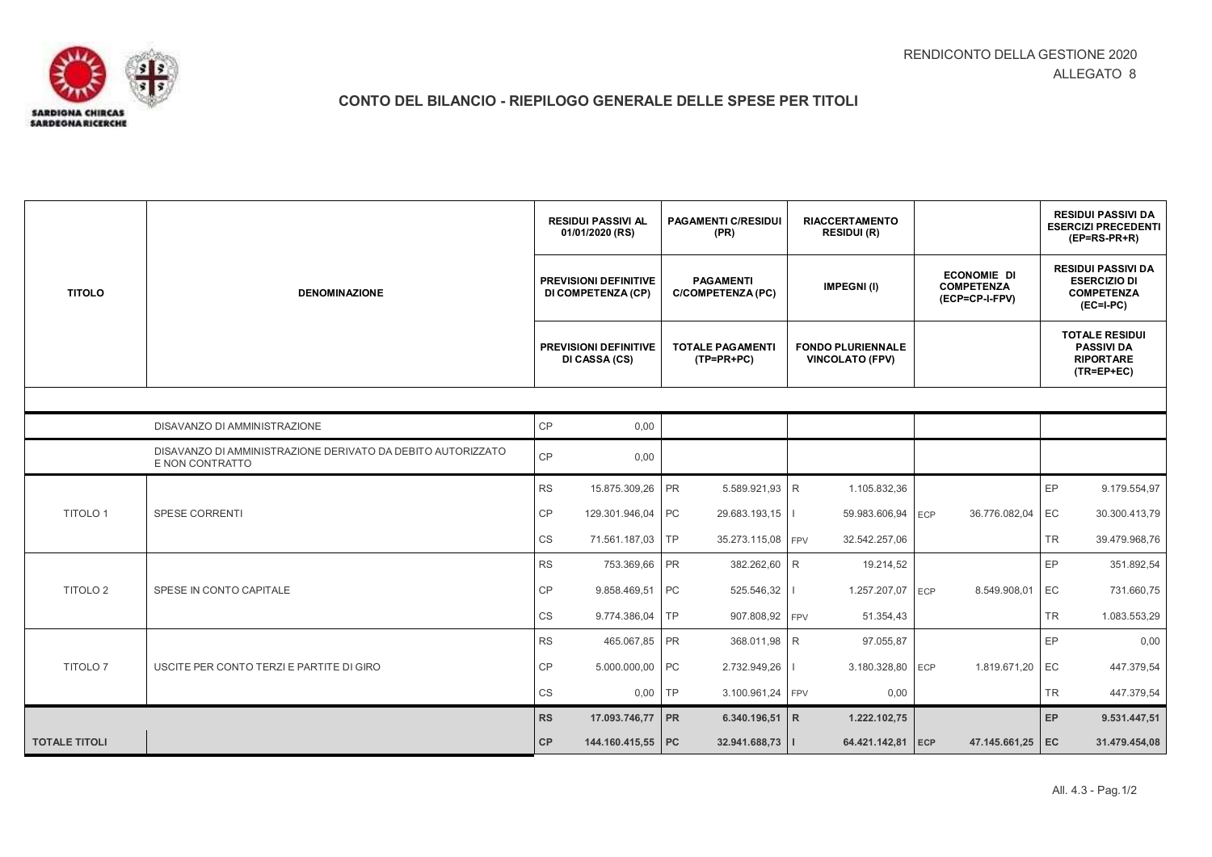

## **CONTO DEL BILANCIO - RIEPILOGO GENERALE DELLE SPESE PER TITOLI**

|                              | <b>DENOMINAZIONE</b>                                                           | <b>RESIDUI PASSIVI AL</b><br>01/01/2020 (RS)       |                                               | <b>PAGAMENTI C/RESIDUI</b><br>(PR) |                                       | <b>RIACCERTAMENTO</b><br><b>RESIDUI (R)</b> |                                                    |     |                                                           |           | <b>RESIDUI PASSIVI DA</b><br><b>ESERCIZI PRECEDENTI</b><br>$(EP=RS-PR+R)$            |  |
|------------------------------|--------------------------------------------------------------------------------|----------------------------------------------------|-----------------------------------------------|------------------------------------|---------------------------------------|---------------------------------------------|----------------------------------------------------|-----|-----------------------------------------------------------|-----------|--------------------------------------------------------------------------------------|--|
| <b>TITOLO</b>                |                                                                                | <b>PREVISIONI DEFINITIVE</b><br>DI COMPETENZA (CP) |                                               |                                    | <b>PAGAMENTI</b><br>C/COMPETENZA (PC) |                                             | <b>IMPEGNI(I)</b>                                  |     | <b>ECONOMIE DI</b><br><b>COMPETENZA</b><br>(ECP=CP-I-FPV) |           | <b>RESIDUI PASSIVI DA</b><br><b>ESERCIZIO DI</b><br><b>COMPETENZA</b><br>$(EC=I-PC)$ |  |
|                              |                                                                                |                                                    | <b>PREVISIONI DEFINITIVE</b><br>DI CASSA (CS) |                                    | <b>TOTALE PAGAMENTI</b><br>(TP=PR+PC) |                                             | <b>FONDO PLURIENNALE</b><br><b>VINCOLATO (FPV)</b> |     |                                                           |           | <b>TOTALE RESIDUI</b><br><b>PASSIVI DA</b><br><b>RIPORTARE</b><br>$(TR=EP+EC)$       |  |
|                              |                                                                                |                                                    |                                               |                                    |                                       |                                             |                                                    |     |                                                           |           |                                                                                      |  |
| DISAVANZO DI AMMINISTRAZIONE |                                                                                | CP                                                 | 0,00                                          |                                    |                                       |                                             |                                                    |     |                                                           |           |                                                                                      |  |
|                              | DISAVANZO DI AMMINISTRAZIONE DERIVATO DA DEBITO AUTORIZZATO<br>E NON CONTRATTO | CP                                                 | 0,00                                          |                                    |                                       |                                             |                                                    |     |                                                           |           |                                                                                      |  |
| <b>TITOLO 1</b>              | SPESE CORRENTI                                                                 | <b>RS</b>                                          | 15.875.309,26                                 | PR                                 | 5.589.921,93 R                        |                                             | 1.105.832,36                                       |     |                                                           | EP        | 9.179.554,97                                                                         |  |
|                              |                                                                                | CP                                                 | 129.301.946,04                                | PC                                 | 29.683.193,15                         |                                             | 59.983.606,94                                      | ECP | 36.776.082,04                                             | EC        | 30.300.413,79                                                                        |  |
|                              |                                                                                | CS                                                 | 71.561.187,03                                 | <b>TP</b>                          | 35.273.115,08 FPV                     |                                             | 32.542.257,06                                      |     |                                                           | <b>TR</b> | 39.479.968,76                                                                        |  |
|                              |                                                                                | <b>RS</b>                                          | 753.369,66                                    | <b>PR</b>                          | 382.262,60 R                          |                                             | 19.214,52                                          |     |                                                           | EP        | 351.892,54                                                                           |  |
| <b>TITOLO 2</b>              | SPESE IN CONTO CAPITALE                                                        | CP                                                 | 9.858.469,51                                  | PC                                 | 525.546,32                            |                                             | 1.257.207,07 ECP                                   |     | 8.549.908,01                                              | EC        | 731.660,75                                                                           |  |
|                              |                                                                                | CS                                                 | 9.774.386,04                                  | <b>TP</b>                          | 907.808,92 FPV                        |                                             | 51.354,43                                          |     |                                                           | <b>TR</b> | 1.083.553,29                                                                         |  |
| <b>TITOLO 7</b>              | USCITE PER CONTO TERZI E PARTITE DI GIRO                                       | <b>RS</b>                                          | 465.067,85                                    | <b>PR</b>                          | 368.011,98 R                          |                                             | 97.055,87                                          |     |                                                           | EP        | 0,00                                                                                 |  |
|                              |                                                                                | CP                                                 | 5.000.000,00                                  | PC                                 | 2.732.949,26                          |                                             | 3.180.328,80                                       | ECP | 1.819.671,20                                              | EC        | 447.379,54                                                                           |  |
|                              |                                                                                | CS                                                 | 0,00                                          | TP                                 | 3.100.961,24 FPV                      |                                             | 0,00                                               |     |                                                           | <b>TR</b> | 447.379,54                                                                           |  |
|                              |                                                                                | <b>RS</b>                                          | 17.093.746,77                                 | PR                                 | 6.340.196,51 R                        |                                             | 1.222.102,75                                       |     |                                                           | EP        | 9.531.447,51                                                                         |  |
| <b>TOTALE TITOLI</b>         |                                                                                | CP                                                 | 144.160.415,55 PC                             |                                    | 32.941.688,73                         |                                             | 64.421.142,81                                      | ECP | 47.145.661,25                                             | EC        | 31.479.454,08                                                                        |  |